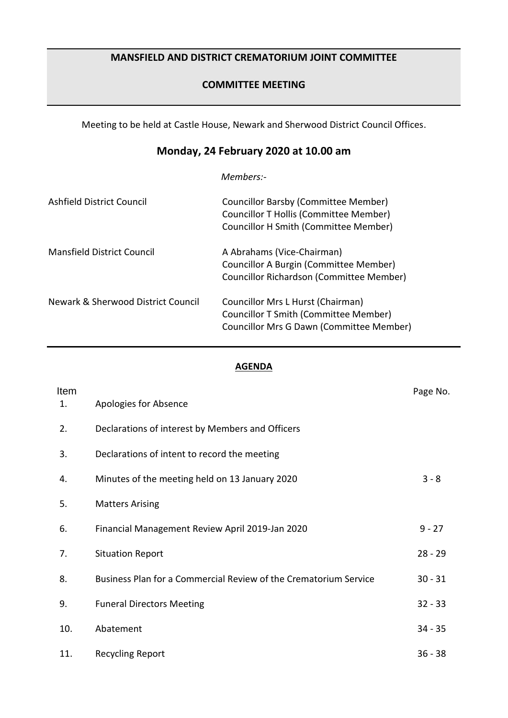## **MANSFIELD AND DISTRICT CREMATORIUM JOINT COMMITTEE**

### **COMMITTEE MEETING**

Meeting to be held at Castle House, Newark and Sherwood District Council Offices.

# **Monday, 24 February 2020 at 10.00 am**

*Members:-*

| Ashfield District Council          | Councillor Barsby (Committee Member)<br>Councillor T Hollis (Committee Member)<br><b>Councillor H Smith (Committee Member)</b> |
|------------------------------------|--------------------------------------------------------------------------------------------------------------------------------|
| Mansfield District Council         | A Abrahams (Vice-Chairman)<br>Councillor A Burgin (Committee Member)<br>Councillor Richardson (Committee Member)               |
| Newark & Sherwood District Council | Councillor Mrs L Hurst (Chairman)<br>Councillor T Smith (Committee Member)<br>Councillor Mrs G Dawn (Committee Member)         |

#### **AGENDA**

| Item<br>1. | Apologies for Absence                                            | Page No.  |
|------------|------------------------------------------------------------------|-----------|
| 2.         | Declarations of interest by Members and Officers                 |           |
| 3.         | Declarations of intent to record the meeting                     |           |
| 4.         | Minutes of the meeting held on 13 January 2020                   | $3 - 8$   |
| 5.         | <b>Matters Arising</b>                                           |           |
| 6.         | Financial Management Review April 2019-Jan 2020                  | $9 - 27$  |
| 7.         | <b>Situation Report</b>                                          | $28 - 29$ |
| 8.         | Business Plan for a Commercial Review of the Crematorium Service | $30 - 31$ |
| 9.         | <b>Funeral Directors Meeting</b>                                 | $32 - 33$ |
| 10.        | Abatement                                                        | $34 - 35$ |
| 11.        | <b>Recycling Report</b>                                          | $36 - 38$ |